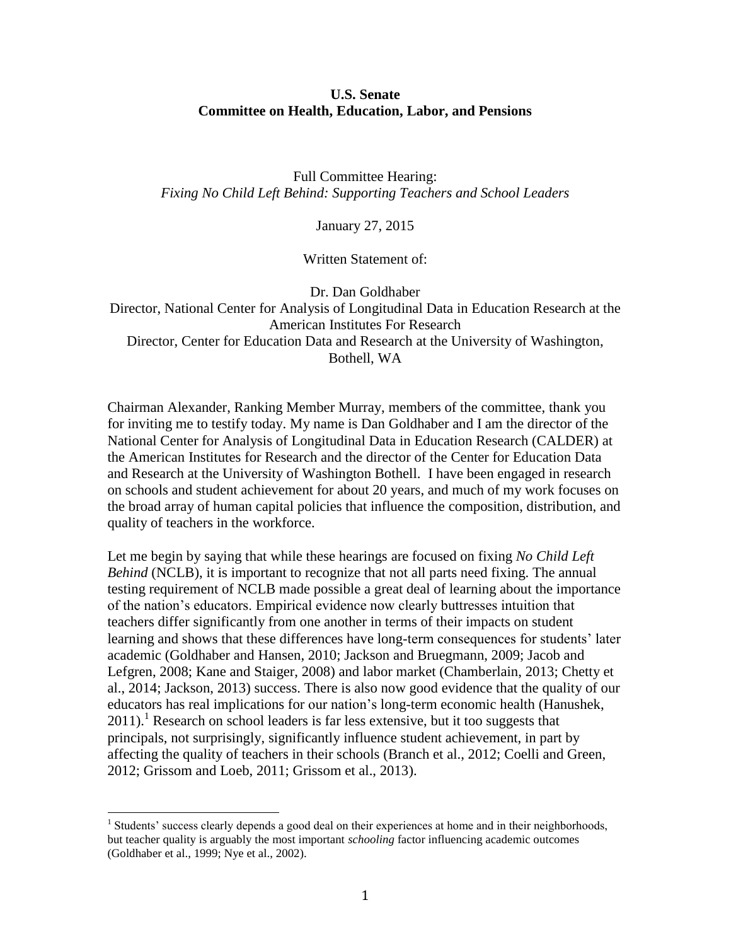## **U.S. Senate Committee on Health, Education, Labor, and Pensions**

Full Committee Hearing: *Fixing No Child Left Behind: Supporting Teachers and School Leaders*

January 27, 2015

Written Statement of:

Dr. Dan Goldhaber Director, National Center for Analysis of Longitudinal Data in Education Research at the American Institutes For Research Director, Center for Education Data and Research at the University of Washington, Bothell, WA

Chairman Alexander, Ranking Member Murray, members of the committee, thank you for inviting me to testify today. My name is Dan Goldhaber and I am the director of the National Center for Analysis of Longitudinal Data in Education Research (CALDER) at the American Institutes for Research and the director of the Center for Education Data and Research at the University of Washington Bothell. I have been engaged in research on schools and student achievement for about 20 years, and much of my work focuses on the broad array of human capital policies that influence the composition, distribution, and quality of teachers in the workforce.

Let me begin by saying that while these hearings are focused on fixing *No Child Left Behind* (NCLB), it is important to recognize that not all parts need fixing. The annual testing requirement of NCLB made possible a great deal of learning about the importance of the nation's educators. Empirical evidence now clearly buttresses intuition that teachers differ significantly from one another in terms of their impacts on student learning and shows that these differences have long-term consequences for students' later academic (Goldhaber and Hansen, 2010; Jackson and Bruegmann, 2009; Jacob and Lefgren, 2008; Kane and Staiger, 2008) and labor market (Chamberlain, 2013; Chetty et al., 2014; Jackson, 2013) success. There is also now good evidence that the quality of our educators has real implications for our nation's long-term economic health (Hanushek,  $2011$ ).<sup>1</sup> Research on school leaders is far less extensive, but it too suggests that principals, not surprisingly, significantly influence student achievement, in part by affecting the quality of teachers in their schools (Branch et al., 2012; Coelli and Green, 2012; Grissom and Loeb, 2011; Grissom et al., 2013).

 $\overline{\phantom{a}}$ 

<sup>&</sup>lt;sup>1</sup> Students' success clearly depends a good deal on their experiences at home and in their neighborhoods, but teacher quality is arguably the most important *schooling* factor influencing academic outcomes (Goldhaber et al., 1999; Nye et al., 2002).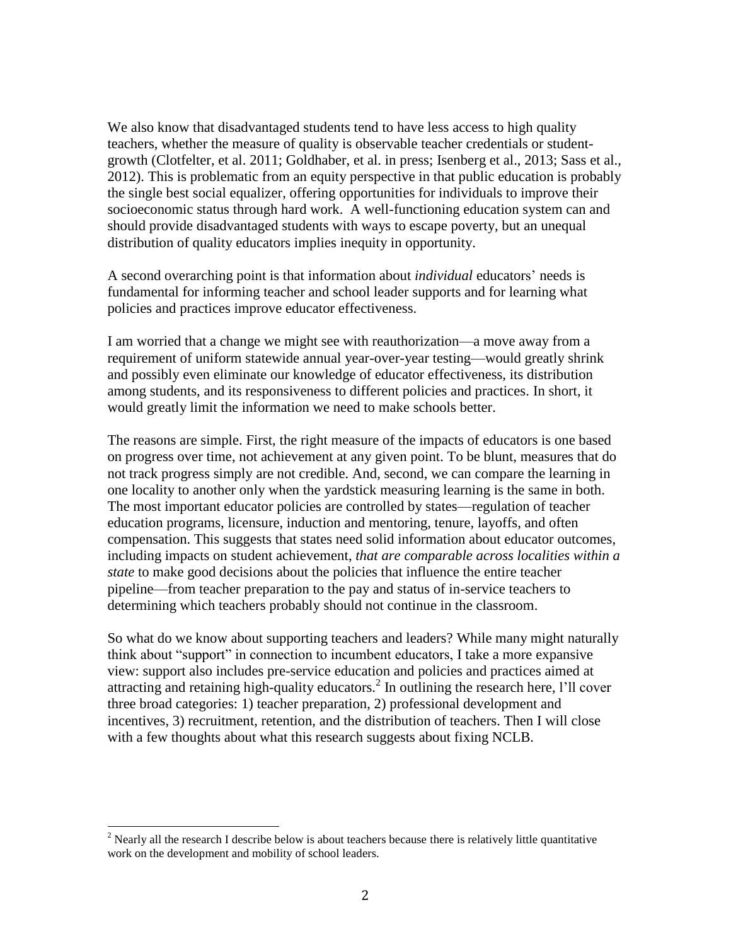We also know that disadvantaged students tend to have less access to high quality teachers, whether the measure of quality is observable teacher credentials or studentgrowth (Clotfelter, et al. 2011; Goldhaber, et al. in press; Isenberg et al., 2013; Sass et al., 2012). This is problematic from an equity perspective in that public education is probably the single best social equalizer, offering opportunities for individuals to improve their socioeconomic status through hard work. A well-functioning education system can and should provide disadvantaged students with ways to escape poverty, but an unequal distribution of quality educators implies inequity in opportunity.

A second overarching point is that information about *individual* educators' needs is fundamental for informing teacher and school leader supports and for learning what policies and practices improve educator effectiveness.

I am worried that a change we might see with reauthorization—a move away from a requirement of uniform statewide annual year-over-year testing—would greatly shrink and possibly even eliminate our knowledge of educator effectiveness, its distribution among students, and its responsiveness to different policies and practices. In short, it would greatly limit the information we need to make schools better.

The reasons are simple. First, the right measure of the impacts of educators is one based on progress over time, not achievement at any given point. To be blunt, measures that do not track progress simply are not credible. And, second, we can compare the learning in one locality to another only when the yardstick measuring learning is the same in both. The most important educator policies are controlled by states—regulation of teacher education programs, licensure, induction and mentoring, tenure, layoffs, and often compensation. This suggests that states need solid information about educator outcomes, including impacts on student achievement, *that are comparable across localities within a state* to make good decisions about the policies that influence the entire teacher pipeline—from teacher preparation to the pay and status of in-service teachers to determining which teachers probably should not continue in the classroom.

So what do we know about supporting teachers and leaders? While many might naturally think about "support" in connection to incumbent educators, I take a more expansive view: support also includes pre-service education and policies and practices aimed at attracting and retaining high-quality educators.<sup>2</sup> In outlining the research here, l'll cover three broad categories: 1) teacher preparation, 2) professional development and incentives, 3) recruitment, retention, and the distribution of teachers. Then I will close with a few thoughts about what this research suggests about fixing NCLB.

l

 $2$  Nearly all the research I describe below is about teachers because there is relatively little quantitative work on the development and mobility of school leaders.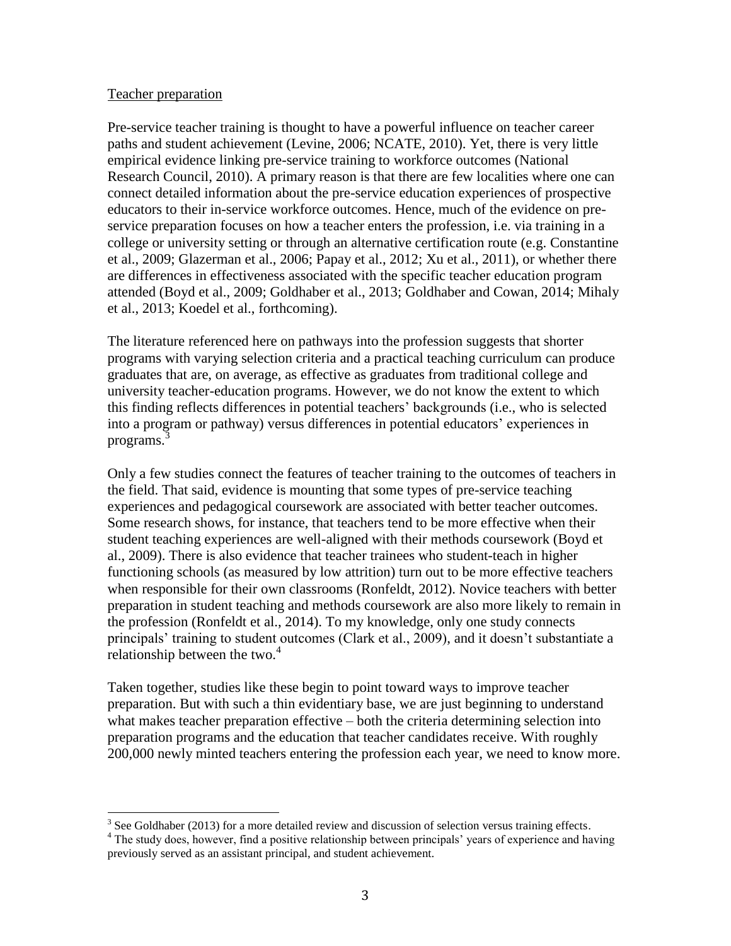#### Teacher preparation

 $\overline{\phantom{a}}$ 

Pre-service teacher training is thought to have a powerful influence on teacher career paths and student achievement (Levine, 2006; NCATE, 2010). Yet, there is very little empirical evidence linking pre-service training to workforce outcomes (National Research Council, 2010). A primary reason is that there are few localities where one can connect detailed information about the pre-service education experiences of prospective educators to their in-service workforce outcomes. Hence, much of the evidence on preservice preparation focuses on how a teacher enters the profession, i.e. via training in a college or university setting or through an alternative certification route (e.g. Constantine et al., 2009; Glazerman et al., 2006; Papay et al., 2012; Xu et al., 2011), or whether there are differences in effectiveness associated with the specific teacher education program attended (Boyd et al., 2009; Goldhaber et al., 2013; Goldhaber and Cowan, 2014; Mihaly et al., 2013; Koedel et al., forthcoming).

The literature referenced here on pathways into the profession suggests that shorter programs with varying selection criteria and a practical teaching curriculum can produce graduates that are, on average, as effective as graduates from traditional college and university teacher-education programs. However, we do not know the extent to which this finding reflects differences in potential teachers' backgrounds (i.e., who is selected into a program or pathway) versus differences in potential educators' experiences in programs. 3

Only a few studies connect the features of teacher training to the outcomes of teachers in the field. That said, evidence is mounting that some types of pre-service teaching experiences and pedagogical coursework are associated with better teacher outcomes. Some research shows, for instance, that teachers tend to be more effective when their student teaching experiences are well-aligned with their methods coursework (Boyd et al., 2009). There is also evidence that teacher trainees who student-teach in higher functioning schools (as measured by low attrition) turn out to be more effective teachers when responsible for their own classrooms (Ronfeldt, 2012). Novice teachers with better preparation in student teaching and methods coursework are also more likely to remain in the profession (Ronfeldt et al., 2014). To my knowledge, only one study connects principals' training to student outcomes (Clark et al., 2009), and it doesn't substantiate a relationship between the two. $4$ 

Taken together, studies like these begin to point toward ways to improve teacher preparation. But with such a thin evidentiary base, we are just beginning to understand what makes teacher preparation effective – both the criteria determining selection into preparation programs and the education that teacher candidates receive. With roughly 200,000 newly minted teachers entering the profession each year, we need to know more.

 $3$  See Goldhaber (2013) for a more detailed review and discussion of selection versus training effects. <sup>4</sup> The study does, however, find a positive relationship between principals' years of experience and having previously served as an assistant principal, and student achievement.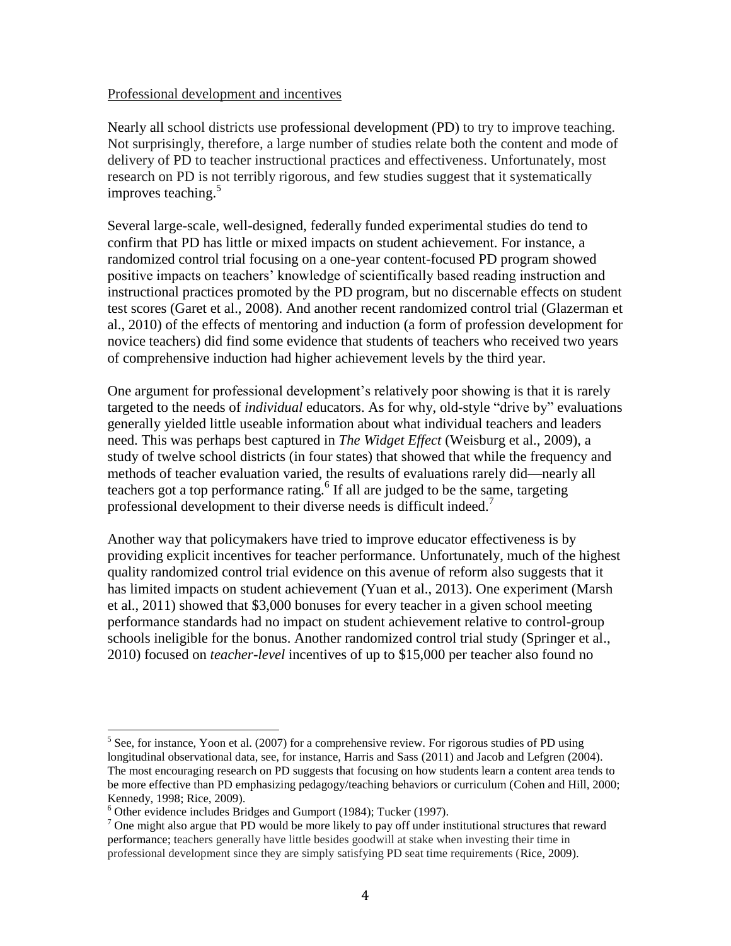#### Professional development and incentives

Nearly all school districts use professional development (PD) to try to improve teaching. Not surprisingly, therefore, a large number of studies relate both the content and mode of delivery of PD to teacher instructional practices and effectiveness. Unfortunately, most research on PD is not terribly rigorous, and few studies suggest that it systematically improves teaching.<sup>5</sup>

Several large-scale, well-designed, federally funded experimental studies do tend to confirm that PD has little or mixed impacts on student achievement. For instance, a randomized control trial focusing on a one-year content-focused PD program showed positive impacts on teachers' knowledge of scientifically based reading instruction and instructional practices promoted by the PD program, but no discernable effects on student test scores (Garet et al., 2008). And another recent randomized control trial (Glazerman et al., 2010) of the effects of mentoring and induction (a form of profession development for novice teachers) did find some evidence that students of teachers who received two years of comprehensive induction had higher achievement levels by the third year.

One argument for professional development's relatively poor showing is that it is rarely targeted to the needs of *individual* educators. As for why, old-style "drive by" evaluations generally yielded little useable information about what individual teachers and leaders need. This was perhaps best captured in *The Widget Effect* (Weisburg et al., 2009), a study of twelve school districts (in four states) that showed that while the frequency and methods of teacher evaluation varied, the results of evaluations rarely did—nearly all teachers got a top performance rating. 6 If all are judged to be the same, targeting professional development to their diverse needs is difficult indeed.<sup>7</sup>

Another way that policymakers have tried to improve educator effectiveness is by providing explicit incentives for teacher performance. Unfortunately, much of the highest quality randomized control trial evidence on this avenue of reform also suggests that it has limited impacts on student achievement (Yuan et al., 2013). One experiment (Marsh et al., 2011) showed that \$3,000 bonuses for every teacher in a given school meeting performance standards had no impact on student achievement relative to control-group schools ineligible for the bonus. Another randomized control trial study (Springer et al., 2010) focused on *teacher-level* incentives of up to \$15,000 per teacher also found no

 $\overline{\phantom{a}}$ 

 $<sup>5</sup>$  See, for instance, Yoon et al. (2007) for a comprehensive review. For rigorous studies of PD using</sup> longitudinal observational data, see, for instance, Harris and Sass (2011) and Jacob and Lefgren (2004). The most encouraging research on PD suggests that focusing on how students learn a content area tends to be more effective than PD emphasizing pedagogy/teaching behaviors or curriculum (Cohen and Hill, 2000; Kennedy, 1998; Rice, 2009).

 $6$  Other evidence includes Bridges and Gumport (1984); Tucker (1997).

<sup>&</sup>lt;sup>7</sup> One might also argue that PD would be more likely to pay off under institutional structures that reward performance; teachers generally have little besides goodwill at stake when investing their time in professional development since they are simply satisfying PD seat time requirements (Rice, 2009).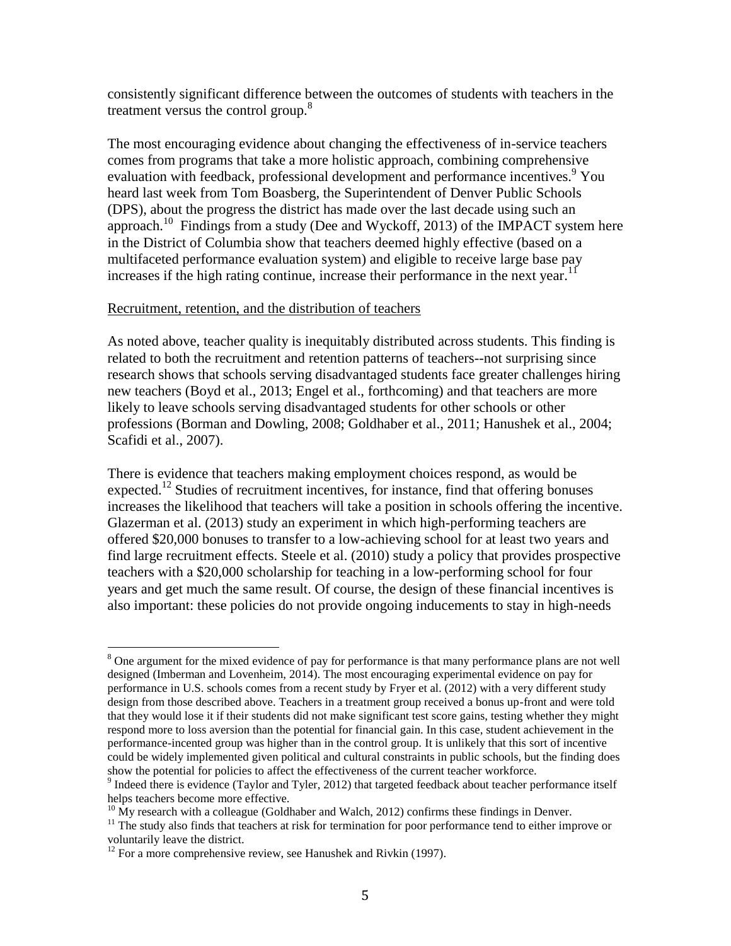consistently significant difference between the outcomes of students with teachers in the treatment versus the control group.<sup>8</sup>

The most encouraging evidence about changing the effectiveness of in-service teachers comes from programs that take a more holistic approach, combining comprehensive evaluation with feedback, professional development and performance incentives.<sup>9</sup> You heard last week from Tom Boasberg, the Superintendent of Denver Public Schools (DPS), about the progress the district has made over the last decade using such an approach.<sup>10</sup> Findings from a study (Dee and Wyckoff, 2013) of the IMPACT system here in the District of Columbia show that teachers deemed highly effective (based on a multifaceted performance evaluation system) and eligible to receive large base pay increases if the high rating continue, increase their performance in the next year.<sup>11</sup>

## Recruitment, retention, and the distribution of teachers

As noted above, teacher quality is inequitably distributed across students. This finding is related to both the recruitment and retention patterns of teachers--not surprising since research shows that schools serving disadvantaged students face greater challenges hiring new teachers (Boyd et al., 2013; Engel et al., forthcoming) and that teachers are more likely to leave schools serving disadvantaged students for other schools or other professions (Borman and Dowling, 2008; Goldhaber et al., 2011; Hanushek et al., 2004; Scafidi et al., 2007).

There is evidence that teachers making employment choices respond, as would be expected.<sup>12</sup> Studies of recruitment incentives, for instance, find that offering bonuses increases the likelihood that teachers will take a position in schools offering the incentive. Glazerman et al. (2013) study an experiment in which high-performing teachers are offered \$20,000 bonuses to transfer to a low-achieving school for at least two years and find large recruitment effects. Steele et al. (2010) study a policy that provides prospective teachers with a \$20,000 scholarship for teaching in a low-performing school for four years and get much the same result. Of course, the design of these financial incentives is also important: these policies do not provide ongoing inducements to stay in high-needs

 $\overline{\phantom{a}}$ <sup>8</sup> One argument for the mixed evidence of pay for performance is that many performance plans are not well designed (Imberman and Lovenheim, 2014). The most encouraging experimental evidence on pay for performance in U.S. schools comes from a recent study by Fryer et al. (2012) with a very different study design from those described above. Teachers in a treatment group received a bonus up-front and were told that they would lose it if their students did not make significant test score gains, testing whether they might respond more to loss aversion than the potential for financial gain. In this case, student achievement in the performance-incented group was higher than in the control group. It is unlikely that this sort of incentive could be widely implemented given political and cultural constraints in public schools, but the finding does show the potential for policies to affect the effectiveness of the current teacher workforce.

 $9$  Indeed there is evidence (Taylor and Tyler, 2012) that targeted feedback about teacher performance itself helps teachers become more effective.

 $^{10}$  My research with a colleague (Goldhaber and Walch, 2012) confirms these findings in Denver.

<sup>&</sup>lt;sup>11</sup> The study also finds that teachers at risk for termination for poor performance tend to either improve or voluntarily leave the district.

 $12$  For a more comprehensive review, see Hanushek and Rivkin (1997).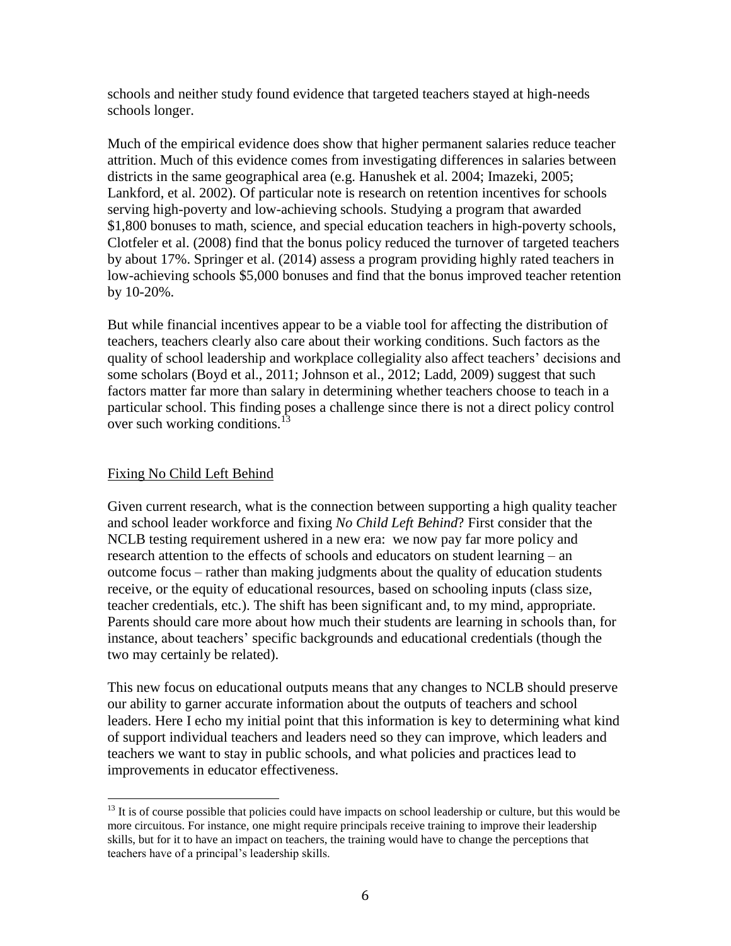schools and neither study found evidence that targeted teachers stayed at high-needs schools longer.

Much of the empirical evidence does show that higher permanent salaries reduce teacher attrition. Much of this evidence comes from investigating differences in salaries between districts in the same geographical area (e.g. Hanushek et al. 2004; Imazeki, 2005; Lankford, et al. 2002). Of particular note is research on retention incentives for schools serving high-poverty and low-achieving schools. Studying a program that awarded \$1,800 bonuses to math, science, and special education teachers in high-poverty schools, Clotfeler et al. (2008) find that the bonus policy reduced the turnover of targeted teachers by about 17%. Springer et al. (2014) assess a program providing highly rated teachers in low-achieving schools \$5,000 bonuses and find that the bonus improved teacher retention by 10-20%.

But while financial incentives appear to be a viable tool for affecting the distribution of teachers, teachers clearly also care about their working conditions. Such factors as the quality of school leadership and workplace collegiality also affect teachers' decisions and some scholars (Boyd et al., 2011; Johnson et al., 2012; Ladd, 2009) suggest that such factors matter far more than salary in determining whether teachers choose to teach in a particular school. This finding poses a challenge since there is not a direct policy control over such working conditions. $^{13}$ 

# Fixing No Child Left Behind

 $\overline{\phantom{a}}$ 

Given current research, what is the connection between supporting a high quality teacher and school leader workforce and fixing *No Child Left Behind*? First consider that the NCLB testing requirement ushered in a new era: we now pay far more policy and research attention to the effects of schools and educators on student learning – an outcome focus – rather than making judgments about the quality of education students receive, or the equity of educational resources, based on schooling inputs (class size, teacher credentials, etc.). The shift has been significant and, to my mind, appropriate. Parents should care more about how much their students are learning in schools than, for instance, about teachers' specific backgrounds and educational credentials (though the two may certainly be related).

This new focus on educational outputs means that any changes to NCLB should preserve our ability to garner accurate information about the outputs of teachers and school leaders. Here I echo my initial point that this information is key to determining what kind of support individual teachers and leaders need so they can improve, which leaders and teachers we want to stay in public schools, and what policies and practices lead to improvements in educator effectiveness.

 $13$  It is of course possible that policies could have impacts on school leadership or culture, but this would be more circuitous. For instance, one might require principals receive training to improve their leadership skills, but for it to have an impact on teachers, the training would have to change the perceptions that teachers have of a principal's leadership skills.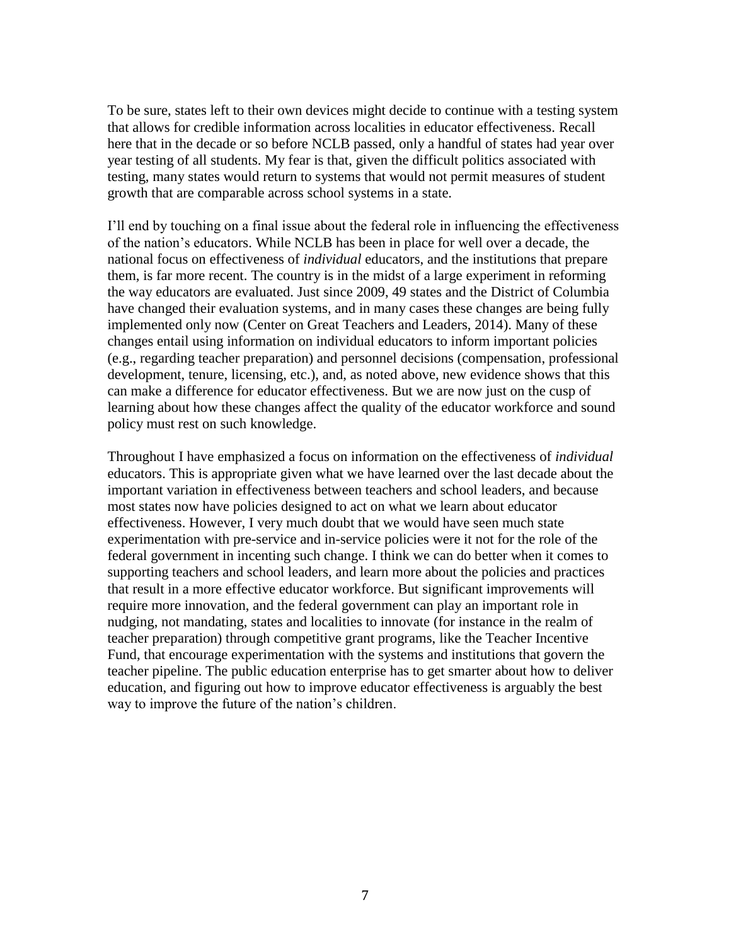To be sure, states left to their own devices might decide to continue with a testing system that allows for credible information across localities in educator effectiveness. Recall here that in the decade or so before NCLB passed, only a handful of states had year over year testing of all students. My fear is that, given the difficult politics associated with testing, many states would return to systems that would not permit measures of student growth that are comparable across school systems in a state.

I'll end by touching on a final issue about the federal role in influencing the effectiveness of the nation's educators. While NCLB has been in place for well over a decade, the national focus on effectiveness of *individual* educators, and the institutions that prepare them, is far more recent. The country is in the midst of a large experiment in reforming the way educators are evaluated. Just since 2009, 49 states and the District of Columbia have changed their evaluation systems, and in many cases these changes are being fully implemented only now (Center on Great Teachers and Leaders, 2014). Many of these changes entail using information on individual educators to inform important policies (e.g., regarding teacher preparation) and personnel decisions (compensation, professional development, tenure, licensing, etc.), and, as noted above, new evidence shows that this can make a difference for educator effectiveness. But we are now just on the cusp of learning about how these changes affect the quality of the educator workforce and sound policy must rest on such knowledge.

Throughout I have emphasized a focus on information on the effectiveness of *individual* educators. This is appropriate given what we have learned over the last decade about the important variation in effectiveness between teachers and school leaders, and because most states now have policies designed to act on what we learn about educator effectiveness. However, I very much doubt that we would have seen much state experimentation with pre-service and in-service policies were it not for the role of the federal government in incenting such change. I think we can do better when it comes to supporting teachers and school leaders, and learn more about the policies and practices that result in a more effective educator workforce. But significant improvements will require more innovation, and the federal government can play an important role in nudging, not mandating, states and localities to innovate (for instance in the realm of teacher preparation) through competitive grant programs, like the Teacher Incentive Fund, that encourage experimentation with the systems and institutions that govern the teacher pipeline. The public education enterprise has to get smarter about how to deliver education, and figuring out how to improve educator effectiveness is arguably the best way to improve the future of the nation's children.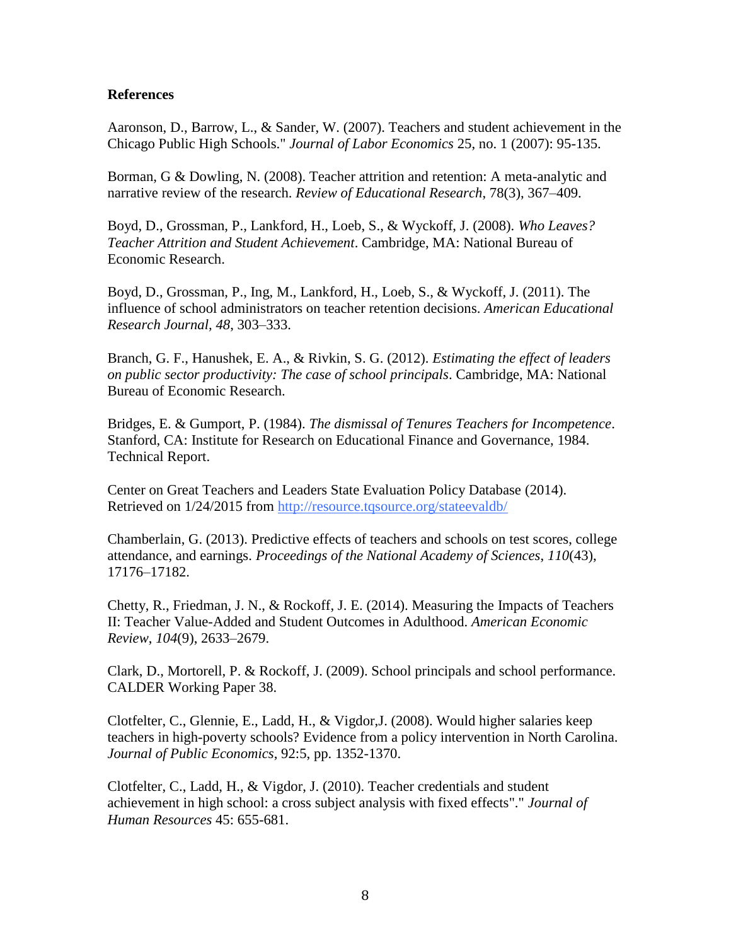### **References**

Aaronson, D., Barrow, L., & Sander, W. (2007). Teachers and student achievement in the Chicago Public High Schools." *Journal of Labor Economics* 25, no. 1 (2007): 95-135.

Borman, G & Dowling, N. (2008). Teacher attrition and retention: A meta-analytic and narrative review of the research. *Review of Educational Research*, 78(3), 367–409.

Boyd, D., Grossman, P., Lankford, H., Loeb, S., & Wyckoff, J. (2008). *Who Leaves? Teacher Attrition and Student Achievement*. Cambridge, MA: National Bureau of Economic Research.

Boyd, D., Grossman, P., Ing, M., Lankford, H., Loeb, S., & Wyckoff, J. (2011). The influence of school administrators on teacher retention decisions. *American Educational Research Journal, 48*, 303–333.

Branch, G. F., Hanushek, E. A., & Rivkin, S. G. (2012). *Estimating the effect of leaders on public sector productivity: The case of school principals*. Cambridge, MA: National Bureau of Economic Research.

Bridges, E. & Gumport, P. (1984). *The dismissal of Tenures Teachers for Incompetence*. Stanford, CA: Institute for Research on Educational Finance and Governance, 1984. Technical Report.

Center on Great Teachers and Leaders State Evaluation Policy Database (2014). Retrieved on 1/24/2015 from <http://resource.tqsource.org/stateevaldb/>

Chamberlain, G. (2013). Predictive effects of teachers and schools on test scores, college attendance, and earnings. *Proceedings of the National Academy of Sciences*, *110*(43), 17176–17182.

Chetty, R., Friedman, J. N., & Rockoff, J. E. (2014). Measuring the Impacts of Teachers II: Teacher Value-Added and Student Outcomes in Adulthood. *American Economic Review*, *104*(9), 2633–2679.

Clark, D., Mortorell, P. & Rockoff, J. (2009). School principals and school performance. CALDER Working Paper 38.

Clotfelter, C., Glennie, E., Ladd, H., & Vigdor,J. (2008). Would higher salaries keep teachers in high-poverty schools? Evidence from a policy intervention in North Carolina. *Journal of Public Economics*, 92:5, pp. 1352-1370.

Clotfelter, C., Ladd, H., & Vigdor, J. (2010). Teacher credentials and student achievement in high school: a cross subject analysis with fixed effects"." *Journal of Human Resources* 45: 655-681.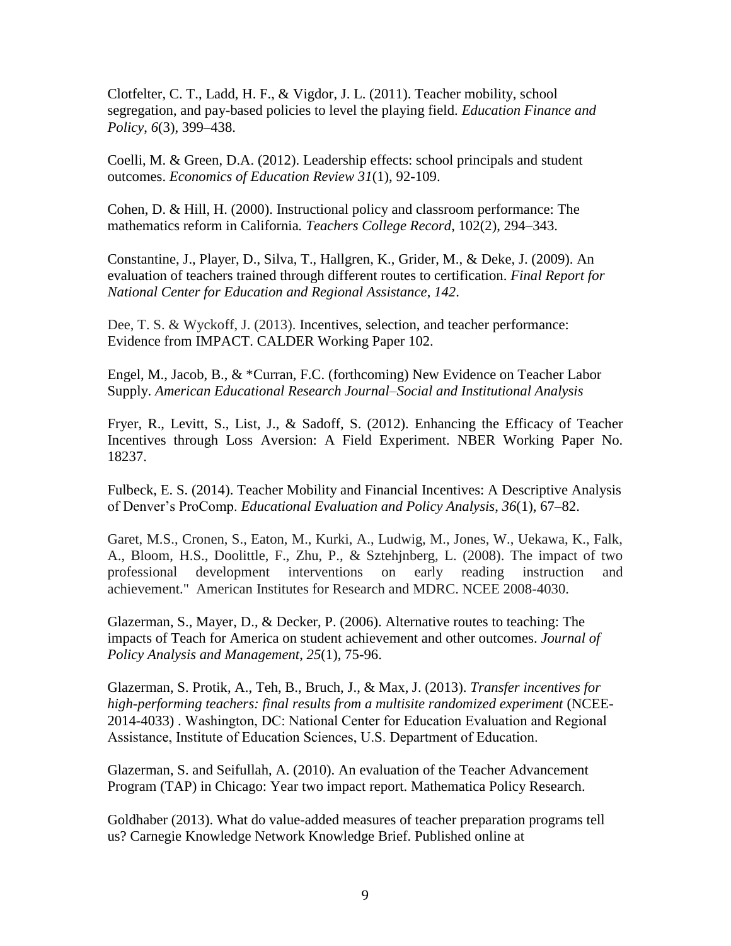Clotfelter, C. T., Ladd, H. F., & Vigdor, J. L. (2011). Teacher mobility, school segregation, and pay-based policies to level the playing field. *Education Finance and Policy*, *6*(3), 399–438.

Coelli, M. & Green, D.A. (2012). Leadership effects: school principals and student outcomes. *Economics of Education Review 31*(1), 92-109.

Cohen, D. & Hill, H. (2000). Instructional policy and classroom performance: The mathematics reform in California*. Teachers College Record*, 102(2), 294–343.

Constantine, J., Player, D., Silva, T., Hallgren, K., Grider, M., & Deke, J. (2009). An evaluation of teachers trained through different routes to certification. *Final Report for National Center for Education and Regional Assistance*, *142*.

Dee, T. S. & Wyckoff, J. (2013). Incentives, selection, and teacher performance: Evidence from IMPACT. CALDER Working Paper 102.

Engel, M., Jacob, B., & \*Curran, F.C. (forthcoming) New Evidence on Teacher Labor Supply. *American Educational Research Journal–Social and Institutional Analysis*

Fryer, R., Levitt, S., List, J., & Sadoff, S. (2012). Enhancing the Efficacy of Teacher Incentives through Loss Aversion: A Field Experiment. NBER Working Paper No. 18237.

Fulbeck, E. S. (2014). Teacher Mobility and Financial Incentives: A Descriptive Analysis of Denver's ProComp. *Educational Evaluation and Policy Analysis*, *36*(1), 67–82.

Garet, M.S., Cronen, S., Eaton, M., Kurki, A., Ludwig, M., Jones, W., Uekawa, K., Falk, A., Bloom, H.S., Doolittle, F., Zhu, P., & Sztehjnberg, L. (2008). The impact of two professional development interventions on early reading instruction and achievement." American Institutes for Research and MDRC. NCEE 2008-4030.

Glazerman, S., Mayer, D., & Decker, P. (2006). Alternative routes to teaching: The impacts of Teach for America on student achievement and other outcomes. *Journal of Policy Analysis and Management*, *25*(1), 75-96.

Glazerman, S. Protik, A., Teh, B., Bruch, J., & Max, J. (2013). *Transfer incentives for high-performing teachers: final results from a multisite randomized experiment* (NCEE-2014-4033) . Washington, DC: National Center for Education Evaluation and Regional Assistance, Institute of Education Sciences, U.S. Department of Education.

Glazerman, S. and Seifullah, A. (2010). An evaluation of the Teacher Advancement Program (TAP) in Chicago: Year two impact report. Mathematica Policy Research.

Goldhaber (2013). What do value-added measures of teacher preparation programs tell us? Carnegie Knowledge Network Knowledge Brief. Published online at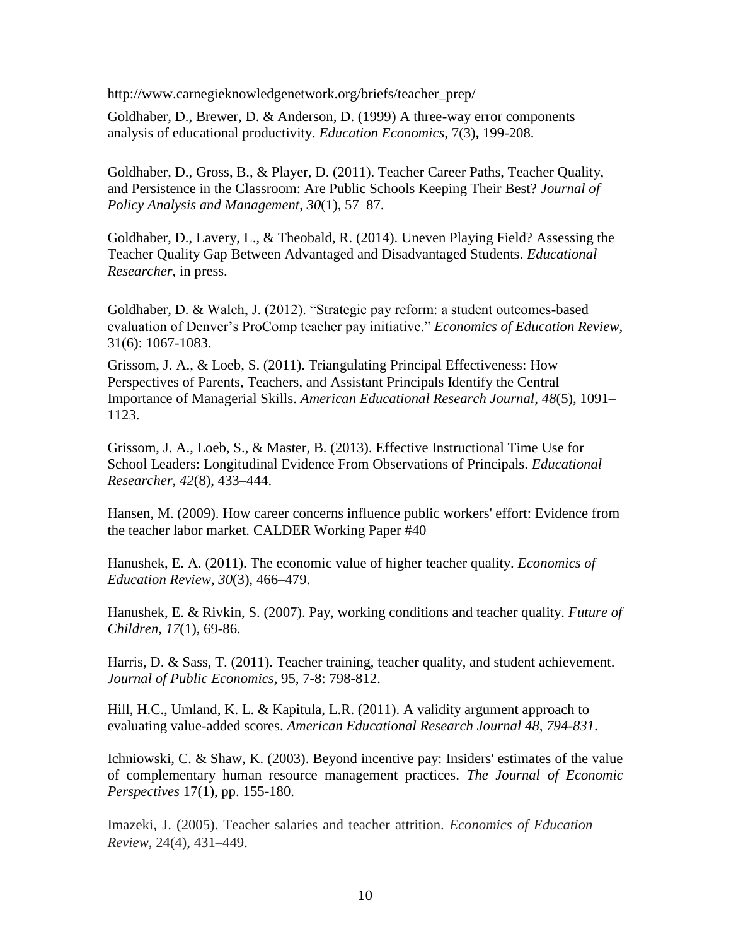http://www.carnegieknowledgenetwork.org/briefs/teacher\_prep/

Goldhaber, D., Brewer, D. & Anderson, D. (1999) A three-way error components analysis of educational productivity. *Education Economics,* 7(3)**,** 199-208.

Goldhaber, D., Gross, B., & Player, D. (2011). Teacher Career Paths, Teacher Quality, and Persistence in the Classroom: Are Public Schools Keeping Their Best? *Journal of Policy Analysis and Management*, *30*(1), 57–87.

Goldhaber, D., Lavery, L., & Theobald, R. (2014). Uneven Playing Field? Assessing the Teacher Quality Gap Between Advantaged and Disadvantaged Students. *Educational Researcher*, in press.

Goldhaber, D. & Walch, J. (2012). "Strategic pay reform: a student outcomes-based evaluation of Denver's ProComp teacher pay initiative." *Economics of Education Review*, 31(6): 1067-1083.

Grissom, J. A., & Loeb, S. (2011). Triangulating Principal Effectiveness: How Perspectives of Parents, Teachers, and Assistant Principals Identify the Central Importance of Managerial Skills. *American Educational Research Journal*, *48*(5), 1091– 1123.

Grissom, J. A., Loeb, S., & Master, B. (2013). Effective Instructional Time Use for School Leaders: Longitudinal Evidence From Observations of Principals. *Educational Researcher*, *42*(8), 433–444.

Hansen, M. (2009). How career concerns influence public workers' effort: Evidence from the teacher labor market. CALDER Working Paper #40

Hanushek, E. A. (2011). The economic value of higher teacher quality. *Economics of Education Review*, *30*(3), 466–479.

Hanushek, E. & Rivkin, S. (2007). Pay, working conditions and teacher quality. *Future of Children*, *17*(1), 69-86.

Harris, D. & Sass, T. (2011). Teacher training, teacher quality, and student achievement. *Journal of Public Economics*, 95, 7-8: 798-812.

Hill, H.C., Umland, K. L. & Kapitula, L.R. (2011). A validity argument approach to evaluating value-added scores. *American Educational Research Journal 48, 794-831*.

Ichniowski, C. & Shaw, K. (2003). Beyond incentive pay: Insiders' estimates of the value of complementary human resource management practices. *The Journal of Economic Perspectives* 17(1), pp. 155-180.

Imazeki, J. (2005). Teacher salaries and teacher attrition. *Economics of Education Review*, 24(4), 431–449.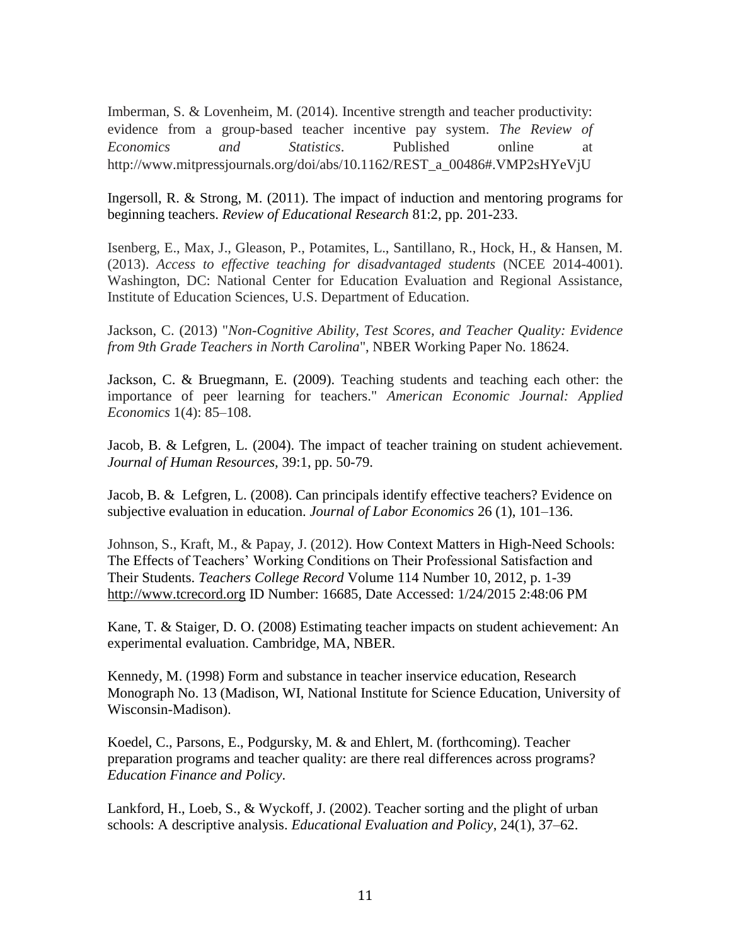Imberman, S. & Lovenheim, M. (2014). Incentive strength and teacher productivity: evidence from a group-based teacher incentive pay system. *The Review of Economics and Statistics*. Published online at http://www.mitpressjournals.org/doi/abs/10.1162/REST\_a\_00486#.VMP2sHYeVjU

Ingersoll, R. & Strong, M. (2011). The impact of induction and mentoring programs for beginning teachers. *Review of Educational Research* 81:2, pp. 201-233.

Isenberg, E., Max, J., Gleason, P., Potamites, L., Santillano, R., Hock, H., & Hansen, M. (2013). *Access to effective teaching for disadvantaged students* (NCEE 2014-4001). Washington, DC: National Center for Education Evaluation and Regional Assistance, Institute of Education Sciences, U.S. Department of Education.

Jackson, C. (2013) "*Non-Cognitive Ability, Test Scores, and Teacher Quality: Evidence from 9th Grade Teachers in North Carolina*", NBER Working Paper No. 18624.

Jackson, C. & Bruegmann, E. (2009). Teaching students and teaching each other: the importance of peer learning for teachers." *American Economic Journal: Applied Economics* 1(4): 85–108.

Jacob, B. & Lefgren, L. (2004). The impact of teacher training on student achievement. *Journal of Human Resources,* 39:1, pp. 50-79.

Jacob, B. & Lefgren, L. (2008). Can principals identify effective teachers? Evidence on subjective evaluation in education. *Journal of Labor Economics* 26 (1), 101–136.

Johnson, S., Kraft, M., & Papay, J. (2012). How Context Matters in High-Need Schools: The Effects of Teachers' Working Conditions on Their Professional Satisfaction and Their Students. *Teachers College Record* Volume 114 Number 10, 2012, p. 1-39 [http://www.tcrecord.org](http://www.tcrecord.org/Home.asp) ID Number: 16685, Date Accessed: 1/24/2015 2:48:06 PM

Kane, T. & Staiger, D. O. (2008) Estimating teacher impacts on student achievement: An experimental evaluation. Cambridge, MA, NBER.

Kennedy, M. (1998) Form and substance in teacher inservice education, Research Monograph No. 13 (Madison, WI, National Institute for Science Education, University of Wisconsin-Madison).

Koedel, C., Parsons, E., Podgursky, M. & and Ehlert, M. (forthcoming). Teacher preparation programs and teacher quality: are there real differences across programs? *Education Finance and Policy*.

Lankford, H., Loeb, S., & Wyckoff, J. (2002). Teacher sorting and the plight of urban schools: A descriptive analysis. *Educational Evaluation and Policy*, 24(1), 37–62.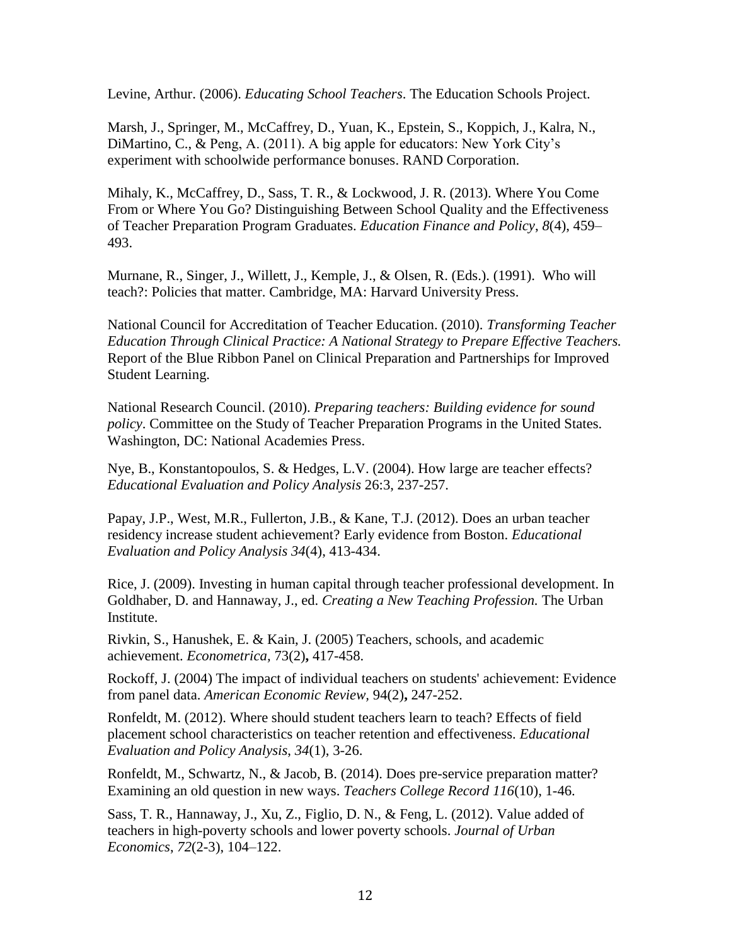Levine, Arthur. (2006). *Educating School Teachers*. The Education Schools Project.

Marsh, J., Springer, M., McCaffrey, D., Yuan, K., Epstein, S., Koppich, J., Kalra, N., DiMartino, C., & Peng, A. (2011). A big apple for educators: New York City's experiment with schoolwide performance bonuses. RAND Corporation.

Mihaly, K., McCaffrey, D., Sass, T. R., & Lockwood, J. R. (2013). Where You Come From or Where You Go? Distinguishing Between School Quality and the Effectiveness of Teacher Preparation Program Graduates. *Education Finance and Policy*, *8*(4), 459– 493.

Murnane, R., Singer, J., Willett, J., Kemple, J., & Olsen, R. (Eds.). (1991). Who will teach?: Policies that matter. Cambridge, MA: Harvard University Press.

National Council for Accreditation of Teacher Education. (2010). *Transforming Teacher Education Through Clinical Practice: A National Strategy to Prepare Effective Teachers.* Report of the Blue Ribbon Panel on Clinical Preparation and Partnerships for Improved Student Learning.

National Research Council. (2010). *Preparing teachers: Building evidence for sound policy*. Committee on the Study of Teacher Preparation Programs in the United States. Washington, DC: National Academies Press.

Nye, B., Konstantopoulos, S. & Hedges, L.V. (2004). How large are teacher effects? *Educational Evaluation and Policy Analysis* 26:3, 237-257.

Papay, J.P., West, M.R., Fullerton, J.B., & Kane, T.J. (2012). Does an urban teacher residency increase student achievement? Early evidence from Boston. *Educational Evaluation and Policy Analysis 34*(4), 413-434.

Rice, J. (2009). Investing in human capital through teacher professional development. In Goldhaber, D. and Hannaway, J., ed. *Creating a New Teaching Profession.* The Urban Institute.

Rivkin, S., Hanushek, E. & Kain, J. (2005) Teachers, schools, and academic achievement. *Econometrica,* 73(2)**,** 417-458.

Rockoff, J. (2004) The impact of individual teachers on students' achievement: Evidence from panel data. *American Economic Review,* 94(2)**,** 247-252.

Ronfeldt, M. (2012). Where should student teachers learn to teach? Effects of field placement school characteristics on teacher retention and effectiveness. *Educational Evaluation and Policy Analysis*, *34*(1), 3-26.

Ronfeldt, M., Schwartz, N., & Jacob, B. (2014). Does pre-service preparation matter? Examining an old question in new ways. *Teachers College Record 116*(10), 1-46.

Sass, T. R., Hannaway, J., Xu, Z., Figlio, D. N., & Feng, L. (2012). Value added of teachers in high-poverty schools and lower poverty schools. *Journal of Urban Economics*, *72*(2-3), 104–122.